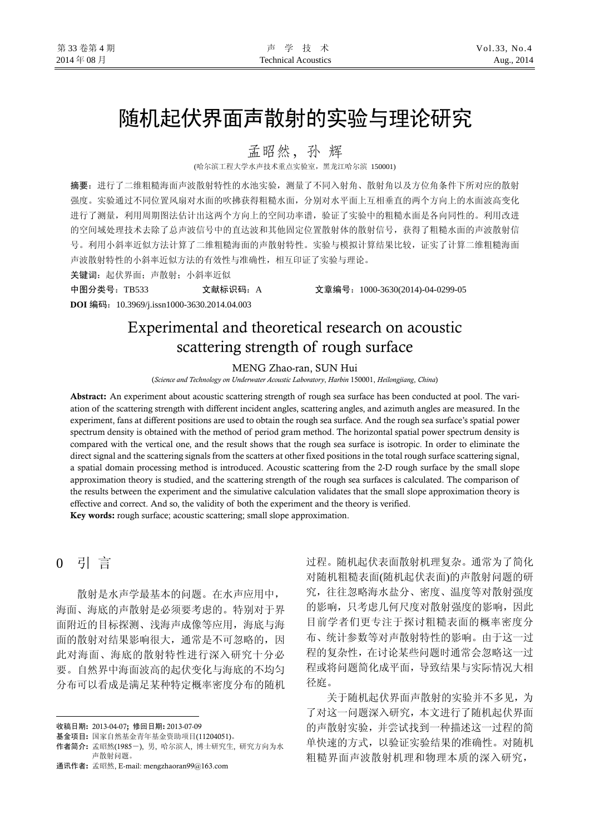# 随机起伏界面声散射的实验与理论研究

孟昭然,孙辉

(哈尔滨工程大学水声技术重点实验室,黑龙江哈尔滨 150001)

摘要:进行了二维粗糙海面声波散射特性的水池实验,测量了不同入射角、散射角以及方位角条件下所对应的散射 强度。实验通过不同位置风扇对水面的吹拂获得粗糙水面,分别对水平面上互相垂直的两个方向上的水面波高变化 进行了测量,利用周期图法估计出这两个方向上的空间功率谱,验证了实验中的粗糙水面是各向同性的。利用改进 的空间域处理技术去除了总声波信号中的直达波和其他固定位置散射体的散射信号,获得了粗糙水面的声波散射信 号。利用小斜率近似方法计算了二维粗糙海面的声散射特性。实验与模拟计算结果比较,证实了计算二维粗糙海面 声波散射特性的小斜率近似方法的有效性与准确性,相互印证了实验与理论。

关键词: 起伏界面; 声散射; 小斜率近似

中图分类号:TB533 文献标识码:A 文章编号:1000-3630(2014)-04-0299-05

**DOI** 编码:10.3969/j.issn1000-3630.2014.04.003

## Experimental and theoretical research on acoustic scattering strength of rough surface

#### MENG Zhao-ran, SUN Hui

(*Science and Technology on Underwater Acoustic Laboratory*, *Harbin* 150001, *Heilongjiang*, *China*)

Abstract: An experiment about acoustic scattering strength of rough sea surface has been conducted at pool. The variation of the scattering strength with different incident angles, scattering angles, and azimuth angles are measured. In the experiment, fans at different positions are used to obtain the rough sea surface. And the rough sea surface's spatial power spectrum density is obtained with the method of period gram method. The horizontal spatial power spectrum density is compared with the vertical one, and the result shows that the rough sea surface is isotropic. In order to eliminate the direct signal and the scattering signals from the scatters at other fixed positions in the total rough surface scattering signal, a spatial domain processing method is introduced. Acoustic scattering from the 2-D rough surface by the small slope approximation theory is studied, and the scattering strength of the rough sea surfaces is calculated. The comparison of the results between the experiment and the simulative calculation validates that the small slope approximation theory is effective and correct. And so, the validity of both the experiment and the theory is verified. Key words: rough surface; acoustic scattering; small slope approximation.

### 0 引 言

 $\overline{a}$ 

散射是水声学最基本的问题。在水声应用中, 海面、海底的声散射是必须要考虑的。特别对于界 面附近的目标探测、浅海声成像等应用,海底与海 面的散射对结果影响很大,通常是不可忽略的,因 此对海面、海底的散射特性进行深入研究十分必 要。自然界中海面波高的起伏变化与海底的不均匀 分布可以看成是满足某种特定概率密度分布的随机 过程。随机起伏表面散射机理复杂。通常为了简化 对随机粗糙表面(随机起伏表面)的声散射问题的研 究,往往忽略海水盐分、密度、温度等对散射强度 的影响,只考虑几何尺度对散射强度的影响,因此 目前学者们更专注于探讨粗糙表面的概率密度分 布、统计参数等对声散射特性的影响。由于这一过 程的复杂性,在讨论某些问题时通常会忽略这一过 程或将问题简化成平面,导致结果与实际情况大相 径庭。

关于随机起伏界面声散射的实验并不多见,为 了对这一问题深入研究,本文进行了随机起伏界面 的声散射实验,并尝试找到一种描述这一过程的简 单快速的方式,以验证实验结果的准确性。对随机 粗糙界面声波散射机理和物理本质的深入研究,

收稿日期: 2013-04-07; 修回日期: 2013-07-09

基金项目: 国家自然基金青年基金资助项目(11204051)。

作者简介: 孟昭然(1985-), 男, 哈尔滨人, 博士研究生, 研究方向为水 声散射问题。

通讯作者: 孟昭然, E-mail: mengzhaoran99@163.com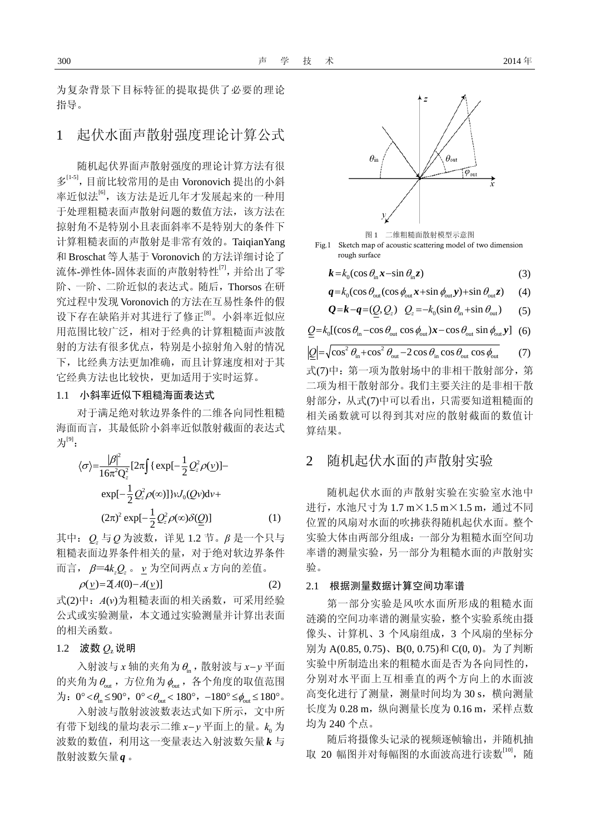为复杂背景下目标特征的提取提供了必要的理论 指导。

### 1 起伏水面声散射强度理论计算公式

随机起伏界面声散射强度的理论计算方法有很 多<sup>[1-5]</sup>,目前比较常用的是由 Voronovich 提出的小斜 率近似法<sup>[6]</sup>, 该方法是近几年才发展起来的一种用 于处理粗糙表面声散射问题的数值方法,该方法在 掠射角不是特别小且表面斜率不是特别大的条件下 计算粗糙表面的声散射是非常有效的。TaiqianYang 和 Broschat 等人基于 Voronovich 的方法详细讨论了 流体-弹性体-固体表面的声散射特性<sup>[7]</sup>,并给出了零 阶、一阶、二阶近似的表达式。随后,Thorsos 在研 究过程中发现 Voronovich 的方法在互易性条件的假 设下存在缺陷并对其进行了修正[8]。小斜率近似应 用范围比较广泛,相对于经典的计算粗糙面声波散 射的方法有很多优点,特别是小掠射角入射的情况 下,比经典方法更加准确,而且计算速度相对于其 它经典方法也比较快,更加适用于实时运算。

#### 1.1 小斜率近似下粗糙海面表达式

对于满足绝对软边界条件的二维各向同性粗糙 海面而言,其最低阶小斜率近似散射截面的表达式 为 $[9]$ :

$$
\langle \sigma \rangle = \frac{|\beta|^2}{16\pi^2 Q_z^2} [2\pi \int {\exp[-\frac{1}{2}Q_z^2 \rho(\underline{v})] - \exp[-\frac{1}{2}Q_z^2 \rho(\infty)]} \nu J_0(Qv) dv +
$$
  

$$
(2\pi)^2 \exp[-\frac{1}{2}Q_z^2 \rho(\infty) \delta(\underline{Q})]
$$
 (1)

其中: *Q,*与*Q*为波数,详见 1.2 节。β 是一个只与 粗糙表面边界条件相关的量,对于绝对软边界条件 而言, β=4k*g*2。 ν 为空间两点 x 方向的差值。

$$
\rho(\underline{v}) = 2[A(0) - A(\underline{v})] \tag{2}
$$

式(2)中:*A*(*ν*)为粗糙表面的相关函数,可采用经验 公式或实验测量,本文通过实验测量并计算出表面 的相关函数。

#### 1.2 波数  $O_2$ 说明

入射波与 *x* 轴的夹角为θin ,散射波与 *x*− *y* 平面 的夹角为 $\theta_{\text{out}}$ , 方位角为 $\phi_{\text{out}}$ , 各个角度的取值范围  $\overleftrightarrow{B}$ : 0° <  $\theta_{\rm in} \leq 90$ °, 0° <  $\theta_{\rm out}$  < 180°, −180°  $\leq \phi_{\rm out} \leq 180$ °.

入射波与散射波波数表达式如下所示,文中所 有带下划线的量均表示二维 *x*− *y* 平面上的量。 为 0 *k* 波数的数值,利用这一变量表达入射波数矢量 k 与 散射波数矢量 $\bm{q}$  。



二维粗糙面散射模型示意图

Fig.1 Sketch map of acoustic scattering model of two dimension rough surface

 $k = k_0 (\cos \theta_{\text{in}} x - \sin \theta_{\text{in}} z)$ (3)

$$
\boldsymbol{q} = k_0 (\cos \theta_{\text{out}} (\cos \phi_{\text{out}} \boldsymbol{x} + \sin \phi_{\text{out}} \boldsymbol{y}) + \sin \theta_{\text{out}} \boldsymbol{z}) \qquad (4)
$$

$$
Q = k - q = (\underline{Q}, Q_z) \quad Q_z = -k_0 (\sin \theta_{\text{in}} + \sin \theta_{\text{out}}) \tag{5}
$$

 $Q = k_0 [(\cos \theta_{\text{in}} - \cos \theta_{\text{out}} \cos \phi_{\text{out}}) x - \cos \theta_{\text{out}} \sin \phi_{\text{out}} y]$  (6)

 $Q = \sqrt{\cos^2 \theta_{\text{in}} + \cos^2 \theta_{\text{out}} - 2 \cos \theta_{\text{in}} \cos \theta_{\text{out}}} \quad (7)$ 式(7)中:第一项为散射场中的非相干散射部分,第 二项为相干散射部分。我们主要关注的是非相干散 射部分,从式(7)中可以看出,只需要知道粗糙面的 相关函数就可以得到其对应的散射截面的数值计 算结果。

### 2 随机起伏水面的声散射实验

随机起伏水面的声散射实验在实验室水池中 进行,水池尺寸为 1.7 m×1.5 m×1.5 m,通过不同 位置的风扇对水面的吹拂获得随机起伏水面。整个 实验大体由两部分组成:一部分为粗糙水面空间功 率谱的测量实验,另一部分为粗糙水面的声散射实 验。

#### 2.1 根据测量数据计算空间功率谱

第一部分实验是风吹水面所形成的粗糙水面 涟漪的空间功率谱的测量实验,整个实验系统由摄 像头、计算机、3 个风扇组成,3 个风扇的坐标分 别为 A(0.85, 0.75)、B(0, 0.75)和 C(0, 0)。为了判断 实验中所制造出来的粗糙水面是否为各向同性的, 分别对水平面上互相垂直的两个方向上的水面波 高变化进行了测量,测量时间均为 30 s,横向测量 长度为 0.28 m, 纵向测量长度为 0.16 m, 采样点数 均为 240 个点。

随后将摄像头记录的视频逐帧输出,并随机抽 取 20 幅图并对每幅图的水面波高进行读数<sup>[10]</sup>, 随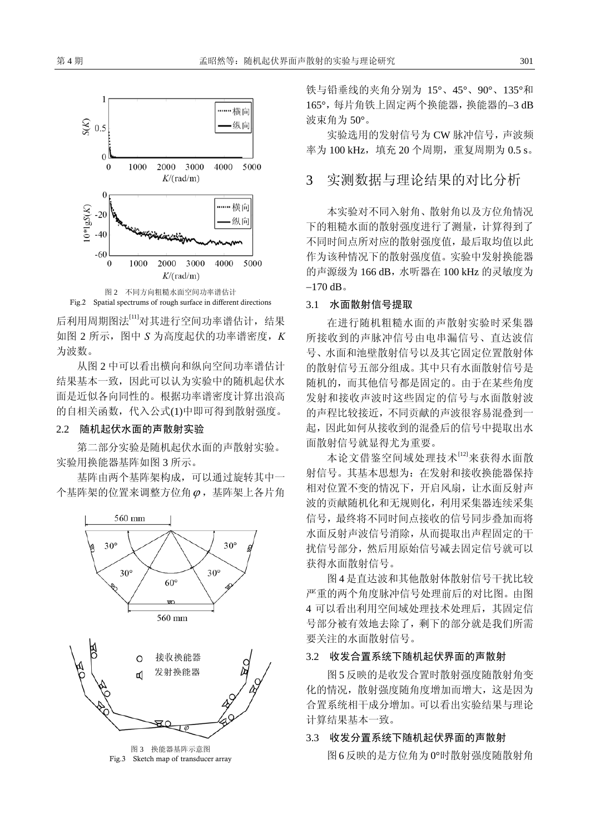



后利用周期图法[11]对其进行空间功率谱估计,结果 如图 2 所示,图中 *S* 为高度起伏的功率谱密度,*K* 为波数。

从图 2 中可以看出横向和纵向空间功率谱估计 结果基本一致,因此可以认为实验中的随机起伏水 面是近似各向同性的。根据功率谱密度计算出浪高 的自相关函数,代入公式(1)中即可得到散射强度。

#### 2.2 随机起伏水面的声散射实验

第二部分实验是随机起伏水面的声散射实验。 实验用换能器基阵如图 3 所示。

基阵由两个基阵架构成,可以通过旋转其中一 个基阵架的位置来调整方位角ϕ ,基阵架上各片角



Fig.3 Sketch map of transducer array

铁与铅垂线的夹角分别为 15°、45°、90°、135°和 165°,每片角铁上固定两个换能器,换能器的−3 dB 波束角为 50°。

实验选用的发射信号为 CW 脉冲信号,声波频 率为 100 kHz, 填充 20 个周期, 重复周期为 0.5 s。

### 3 实测数据与理论结果的对比分析

本实验对不同入射角、散射角以及方位角情况 下的粗糙水面的散射强度进行了测量,计算得到了 不同时间点所对应的散射强度值,最后取均值以此 作为该种情况下的散射强度值。实验中发射换能器 的声源级为 166 dB,水听器在 100 kHz 的灵敏度为 −170 dB。

#### 3.1 水面散射信号提取

在进行随机粗糙水面的声散射实验时采集器 所接收到的声脉冲信号由电串漏信号、直达波信 号、水面和池壁散射信号以及其它固定位置散射体 的散射信号五部分组成。其中只有水面散射信号是 随机的,而其他信号都是固定的。由于在某些角度 发射和接收声波时这些固定的信号与水面散射波 的声程比较接近,不同贡献的声波很容易混叠到一 起,因此如何从接收到的混叠后的信号中提取出水 面散射信号就显得尤为重要。

本论文借鉴空间域处理技术[12]来获得水面散 射信号。其基本思想为:在发射和接收换能器保持 相对位置不变的情况下,开启风扇,让水面反射声 波的贡献随机化和无规则化,利用采集器连续采集 信号,最终将不同时间点接收的信号同步叠加而将 水面反射声波信号消除,从而提取出声程固定的干 扰信号部分,然后用原始信号减去固定信号就可以 获得水面散射信号。

图 4 是直达波和其他散射体散射信号干扰比较 严重的两个角度脉冲信号处理前后的对比图。由图 4 可以看出利用空间域处理技术处理后,其固定信 号部分被有效地去除了,剩下的部分就是我们所需 要关注的水面散射信号。

### 3.2 收发合置系统下随机起伏界面的声散射

图 5 反映的是收发合置时散射强度随散射角变 化的情况,散射强度随角度增加而增大,这是因为 合置系统相干成分增加。可以看出实验结果与理论 计算结果基本一致。

#### 3.3 收发分置系统下随机起伏界面的声散射

图6反映的是方位角为0°时散射强度随散射角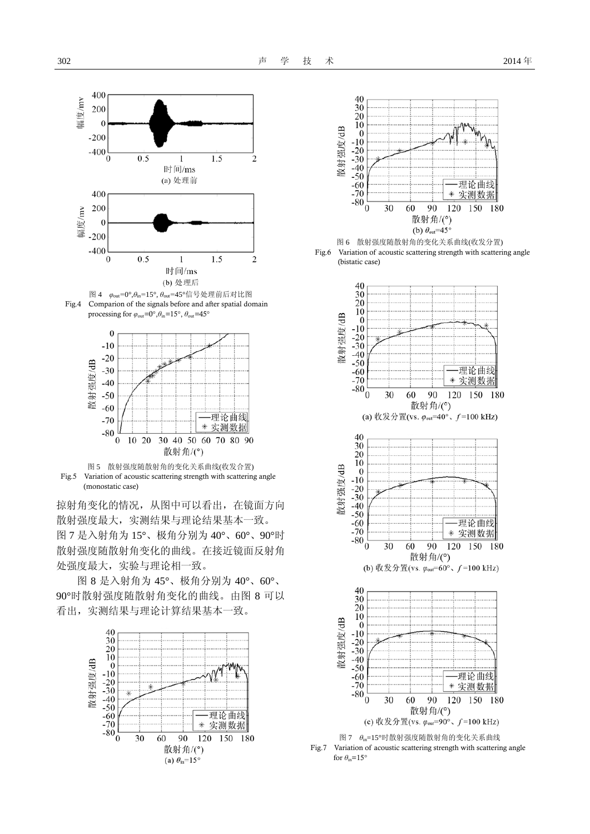







掠射角变化的情况,从图中可以看出,在镜面方向 散射强度最大,实测结果与理论结果基本一致。 图 7 是入射角为 15°、极角分别为 40°、60°、90°时 散射强度随散射角变化的曲线。在接近镜面反射角 处强度最大,实验与理论相一致。

图 8 是入射角为 45°、极角分别为 40°、60°、 90°时散射强度随散射角变化的曲线。由图 8 可以 看出,实测结果与理论计算结果基本一致。









图 7 *θ*in=15°时散射强度随散射角的变化关系曲线

Fig.7 Variation of acoustic scattering strength with scattering angle for  $\theta_{\rm in}$ =15°